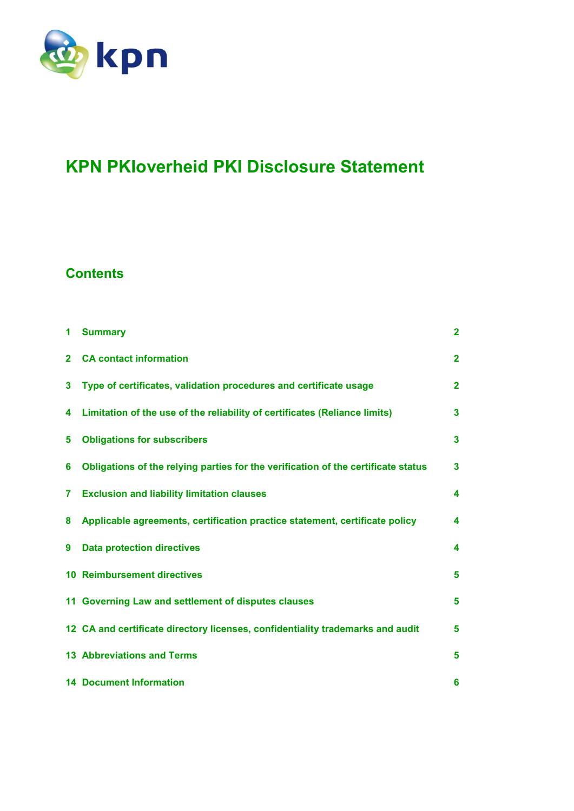

# **KPN PKIoverheid PKI Disclosure Statement**

## **Contents**

| 1            | <b>Summary</b>                                                                    | $\overline{2}$ |  |
|--------------|-----------------------------------------------------------------------------------|----------------|--|
| $\mathbf{2}$ | <b>CA contact information</b>                                                     | $\mathbf{2}$   |  |
| 3            | Type of certificates, validation procedures and certificate usage                 | $\mathbf{2}$   |  |
| 4            | Limitation of the use of the reliability of certificates (Reliance limits)        | 3              |  |
| 5            | <b>Obligations for subscribers</b>                                                | 3              |  |
| 6            | Obligations of the relying parties for the verification of the certificate status | 3              |  |
| 7            | <b>Exclusion and liability limitation clauses</b>                                 | 4              |  |
| 8            | Applicable agreements, certification practice statement, certificate policy       | 4              |  |
| 9            | <b>Data protection directives</b>                                                 | 4              |  |
|              | <b>10 Reimbursement directives</b>                                                | 5              |  |
|              | 11 Governing Law and settlement of disputes clauses                               | 5              |  |
|              | 12 CA and certificate directory licenses, confidentiality trademarks and audit    | 5              |  |
|              | <b>13 Abbreviations and Terms</b>                                                 | 5              |  |
|              | <b>14 Document Information</b>                                                    | 6              |  |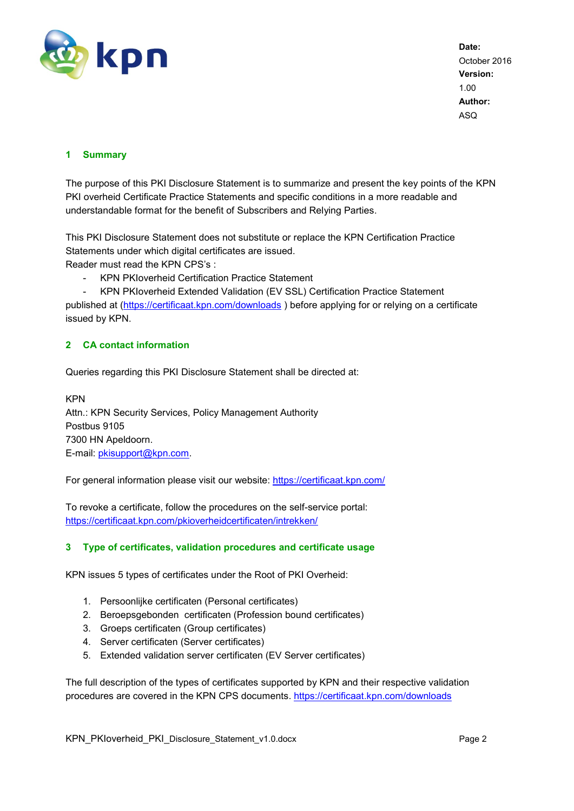

#### <span id="page-1-0"></span>**1 Summary**

The purpose of this PKI Disclosure Statement is to summarize and present the key points of the KPN PKI overheid Certificate Practice Statements and specific conditions in a more readable and understandable format for the benefit of Subscribers and Relying Parties.

This PKI Disclosure Statement does not substitute or replace the KPN Certification Practice Statements under which digital certificates are issued.

Reader must read the KPN CPS's :

- KPN PKIoverheid Certification Practice Statement

- KPN PKIoverheid Extended Validation (EV SSL) Certification Practice Statement published at [\(https://certificaat.kpn.com/downloads](https://certificaat.kpn.com/downloads)) before applying for or relying on a certificate issued by KPN.

#### <span id="page-1-1"></span>**2 CA contact information**

Queries regarding this PKI Disclosure Statement shall be directed at:

KPN Attn.: KPN Security Services, Policy Management Authority Postbus 9105 7300 HN Apeldoorn. E-mail: [pkisupport@kpn.com.](mailto:pkisupport@kpn.com)

For general information please visit our website:<https://certificaat.kpn.com/>

To revoke a certificate, follow the procedures on the self-service portal: <https://certificaat.kpn.com/pkioverheidcertificaten/intrekken/>

#### <span id="page-1-2"></span>**3 Type of certificates, validation procedures and certificate usage**

KPN issues 5 types of certificates under the Root of PKI Overheid:

- 1. Persoonlijke certificaten (Personal certificates)
- 2. Beroepsgebonden certificaten (Profession bound certificates)
- 3. Groeps certificaten (Group certificates)
- 4. Server certificaten (Server certificates)
- 5. Extended validation server certificaten (EV Server certificates)

The full description of the types of certificates supported by KPN and their respective validation procedures are covered in the KPN CPS documents. <https://certificaat.kpn.com/downloads>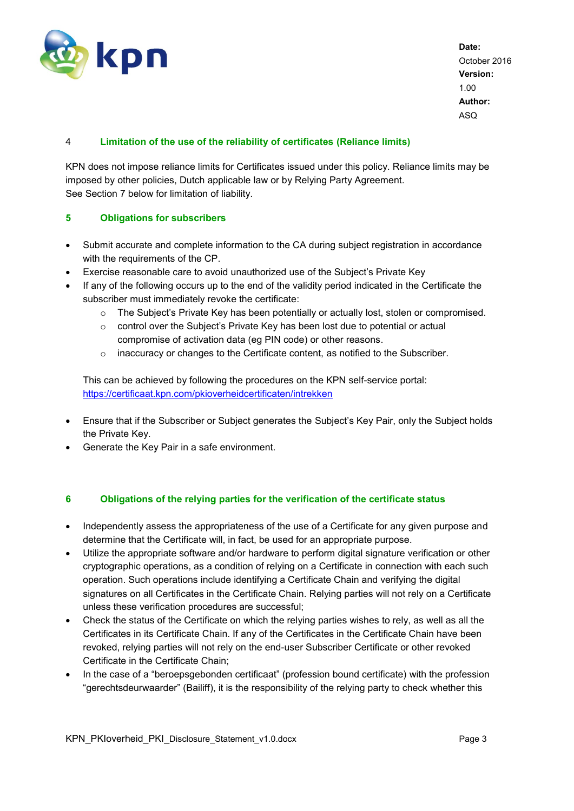

### <span id="page-2-0"></span>4 **Limitation of the use of the reliability of certificates (Reliance limits)**

KPN does not impose reliance limits for Certificates issued under this policy. Reliance limits may be imposed by other policies, Dutch applicable law or by Relying Party Agreement. See Section 7 below for limitation of liability.

#### <span id="page-2-1"></span>**5 Obligations for subscribers**

- Submit accurate and complete information to the CA during subject registration in accordance with the requirements of the CP.
- Exercise reasonable care to avoid unauthorized use of the Subject's Private Key
- If any of the following occurs up to the end of the validity period indicated in the Certificate the subscriber must immediately revoke the certificate:
	- $\circ$  The Subject's Private Key has been potentially or actually lost, stolen or compromised.
	- o control over the Subject's Private Key has been lost due to potential or actual compromise of activation data (eg PIN code) or other reasons.
	- $\circ$  inaccuracy or changes to the Certificate content, as notified to the Subscriber.

This can be achieved by following the procedures on the KPN self-service portal: <https://certificaat.kpn.com/pkioverheidcertificaten/intrekken>

- Ensure that if the Subscriber or Subject generates the Subject's Key Pair, only the Subject holds the Private Key.
- Generate the Key Pair in a safe environment.

#### <span id="page-2-2"></span>**6 Obligations of the relying parties for the verification of the certificate status**

- Independently assess the appropriateness of the use of a Certificate for any given purpose and determine that the Certificate will, in fact, be used for an appropriate purpose.
- Utilize the appropriate software and/or hardware to perform digital signature verification or other cryptographic operations, as a condition of relying on a Certificate in connection with each such operation. Such operations include identifying a Certificate Chain and verifying the digital signatures on all Certificates in the Certificate Chain. Relying parties will not rely on a Certificate unless these verification procedures are successful;
- Check the status of the Certificate on which the relying parties wishes to rely, as well as all the Certificates in its Certificate Chain. If any of the Certificates in the Certificate Chain have been revoked, relying parties will not rely on the end-user Subscriber Certificate or other revoked Certificate in the Certificate Chain;
- In the case of a "beroepsgebonden certificaat" (profession bound certificate) with the profession "gerechtsdeurwaarder" (Bailiff), it is the responsibility of the relying party to check whether this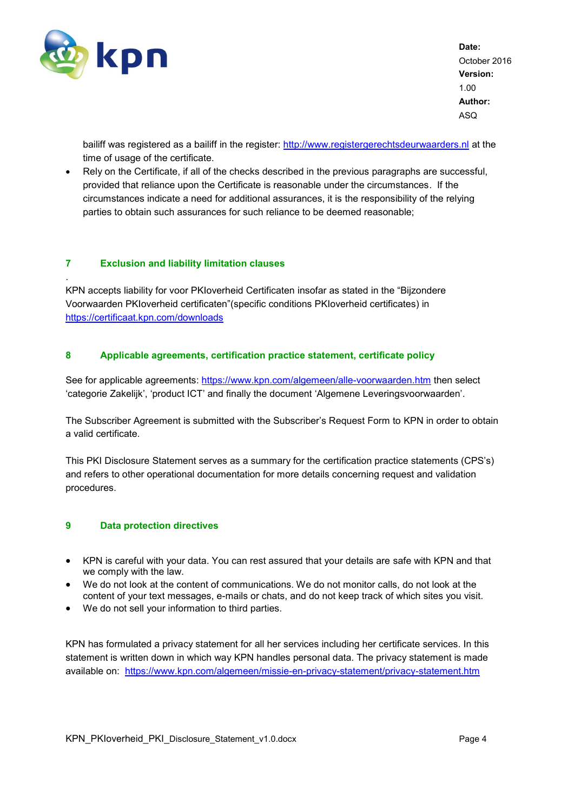

.

**Date:** October 2016 **Version:** 1.00 **Author:** ASQ

bailiff was registered as a bailiff in the register: [http://www.registergerechtsdeurwaarders.nl](http://www.registergerechtsdeurwaarders.nl/) at the time of usage of the certificate.

 Rely on the Certificate, if all of the checks described in the previous paragraphs are successful, provided that reliance upon the Certificate is reasonable under the circumstances. If the circumstances indicate a need for additional assurances, it is the responsibility of the relying parties to obtain such assurances for such reliance to be deemed reasonable;

#### <span id="page-3-0"></span>**7 Exclusion and liability limitation clauses**

KPN accepts liability for voor PKIoverheid Certificaten insofar as stated in the "Bijzondere Voorwaarden PKIoverheid certificaten"(specific conditions PKIoverheid certificates) in <https://certificaat.kpn.com/downloads>

#### <span id="page-3-1"></span>**8 Applicable agreements, certification practice statement, certificate policy**

See for applicable agreements:<https://www.kpn.com/algemeen/alle-voorwaarden.htm> then select 'categorie Zakelijk', 'product ICT' and finally the document 'Algemene Leveringsvoorwaarden'.

The Subscriber Agreement is submitted with the Subscriber's Request Form to KPN in order to obtain a valid certificate.

This PKI Disclosure Statement serves as a summary for the certification practice statements (CPS's) and refers to other operational documentation for more details concerning request and validation procedures.

#### <span id="page-3-2"></span>**9 Data protection directives**

- KPN is careful with your data. You can rest assured that your details are safe with KPN and that we comply with the law.
- We do not look at the content of communications. We do not monitor calls, do not look at the content of your text messages, e-mails or chats, and do not keep track of which sites you visit.
- We do not sell your information to third parties.

KPN has formulated a privacy statement for all her services including her certificate services. In this statement is written down in which way KPN handles personal data. The privacy statement is made available on: <https://www.kpn.com/algemeen/missie-en-privacy-statement/privacy-statement.htm>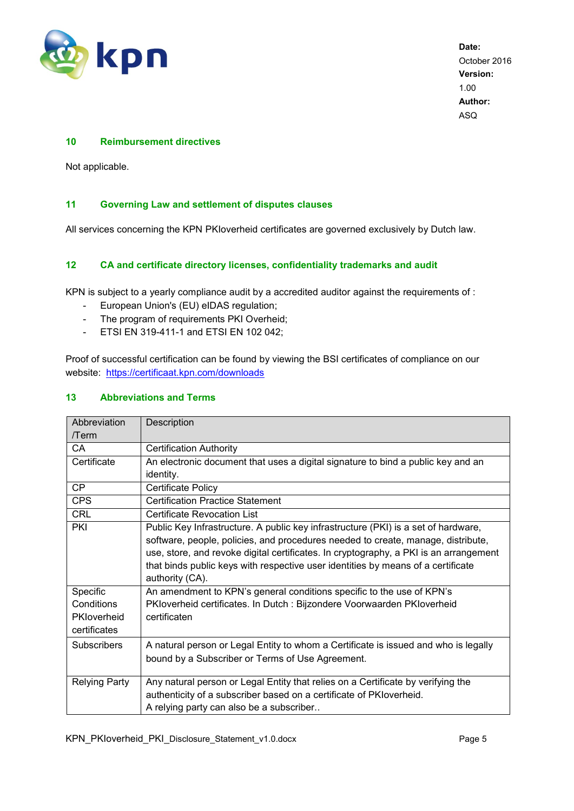

#### <span id="page-4-0"></span>**10 Reimbursement directives**

Not applicable.

#### <span id="page-4-1"></span>**11 Governing Law and settlement of disputes clauses**

All services concerning the KPN PKIoverheid certificates are governed exclusively by Dutch law.

#### <span id="page-4-2"></span>**12 CA and certificate directory licenses, confidentiality trademarks and audit**

KPN is subject to a yearly compliance audit by a accredited auditor against the requirements of :

- European Union's (EU) eIDAS regulation;
- The program of requirements PKI Overheid;
- ETSI EN 319-411-1 and ETSI EN 102 042;

Proof of successful certification can be found by viewing the BSI certificates of compliance on our website: <https://certificaat.kpn.com/downloads>

#### <span id="page-4-3"></span>**13 Abbreviations and Terms**

| Abbreviation         | Description                                                                           |  |  |  |
|----------------------|---------------------------------------------------------------------------------------|--|--|--|
| /Term                |                                                                                       |  |  |  |
| CА                   | <b>Certification Authority</b>                                                        |  |  |  |
| Certificate          | An electronic document that uses a digital signature to bind a public key and an      |  |  |  |
|                      | identity.                                                                             |  |  |  |
| <b>CP</b>            | Certificate Policy                                                                    |  |  |  |
| <b>CPS</b>           | <b>Certification Practice Statement</b>                                               |  |  |  |
| <b>CRL</b>           | Certificate Revocation List                                                           |  |  |  |
| PKI                  | Public Key Infrastructure. A public key infrastructure (PKI) is a set of hardware,    |  |  |  |
|                      | software, people, policies, and procedures needed to create, manage, distribute,      |  |  |  |
|                      | use, store, and revoke digital certificates. In cryptography, a PKI is an arrangement |  |  |  |
|                      | that binds public keys with respective user identities by means of a certificate      |  |  |  |
|                      | authority (CA).                                                                       |  |  |  |
| Specific             | An amendment to KPN's general conditions specific to the use of KPN's                 |  |  |  |
| Conditions           | PKIoverheid certificates. In Dutch : Bijzondere Voorwaarden PKIoverheid               |  |  |  |
| PKloverheid          | certificaten                                                                          |  |  |  |
| certificates         |                                                                                       |  |  |  |
| <b>Subscribers</b>   | A natural person or Legal Entity to whom a Certificate is issued and who is legally   |  |  |  |
|                      | bound by a Subscriber or Terms of Use Agreement.                                      |  |  |  |
|                      |                                                                                       |  |  |  |
| <b>Relying Party</b> | Any natural person or Legal Entity that relies on a Certificate by verifying the      |  |  |  |
|                      | authenticity of a subscriber based on a certificate of PKIoverheid.                   |  |  |  |
|                      | A relying party can also be a subscriber                                              |  |  |  |